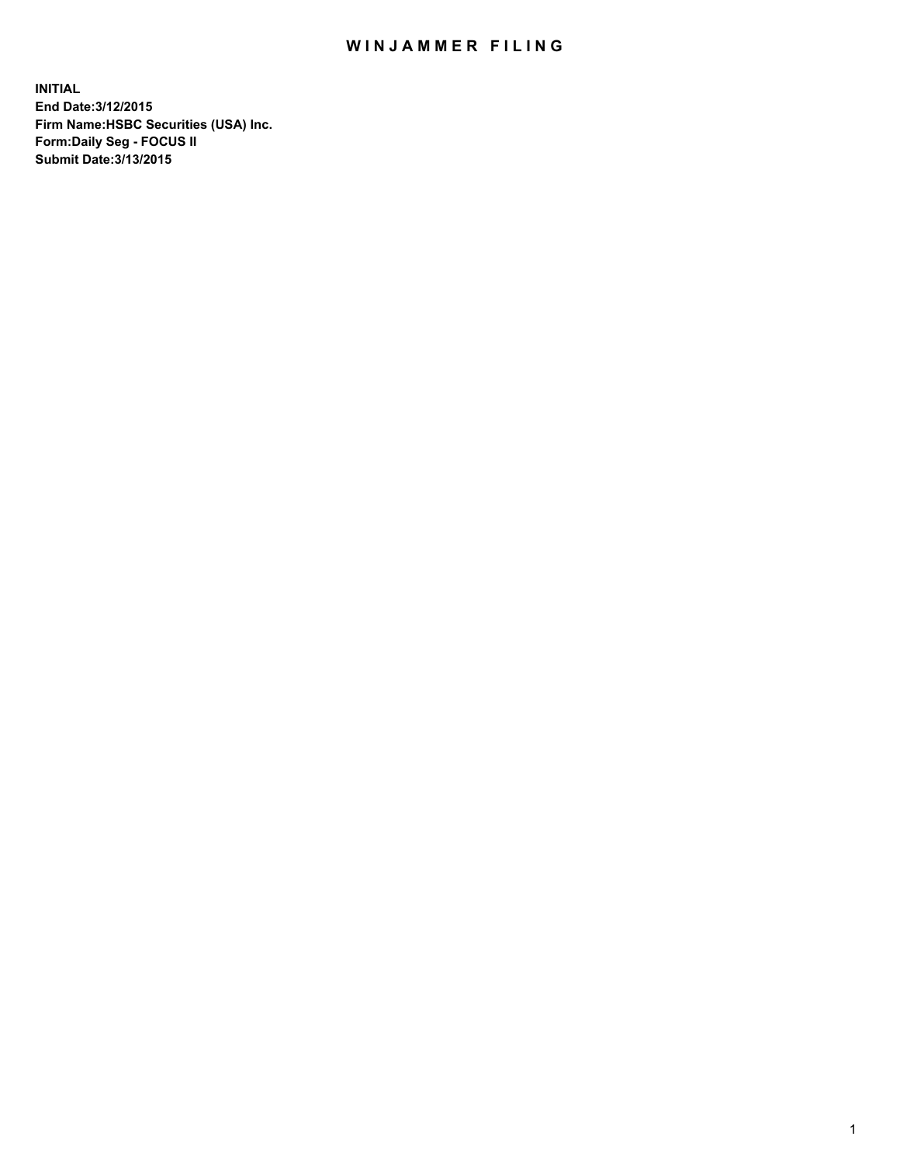## WIN JAMMER FILING

**INITIAL End Date:3/12/2015 Firm Name:HSBC Securities (USA) Inc. Form:Daily Seg - FOCUS II Submit Date:3/13/2015**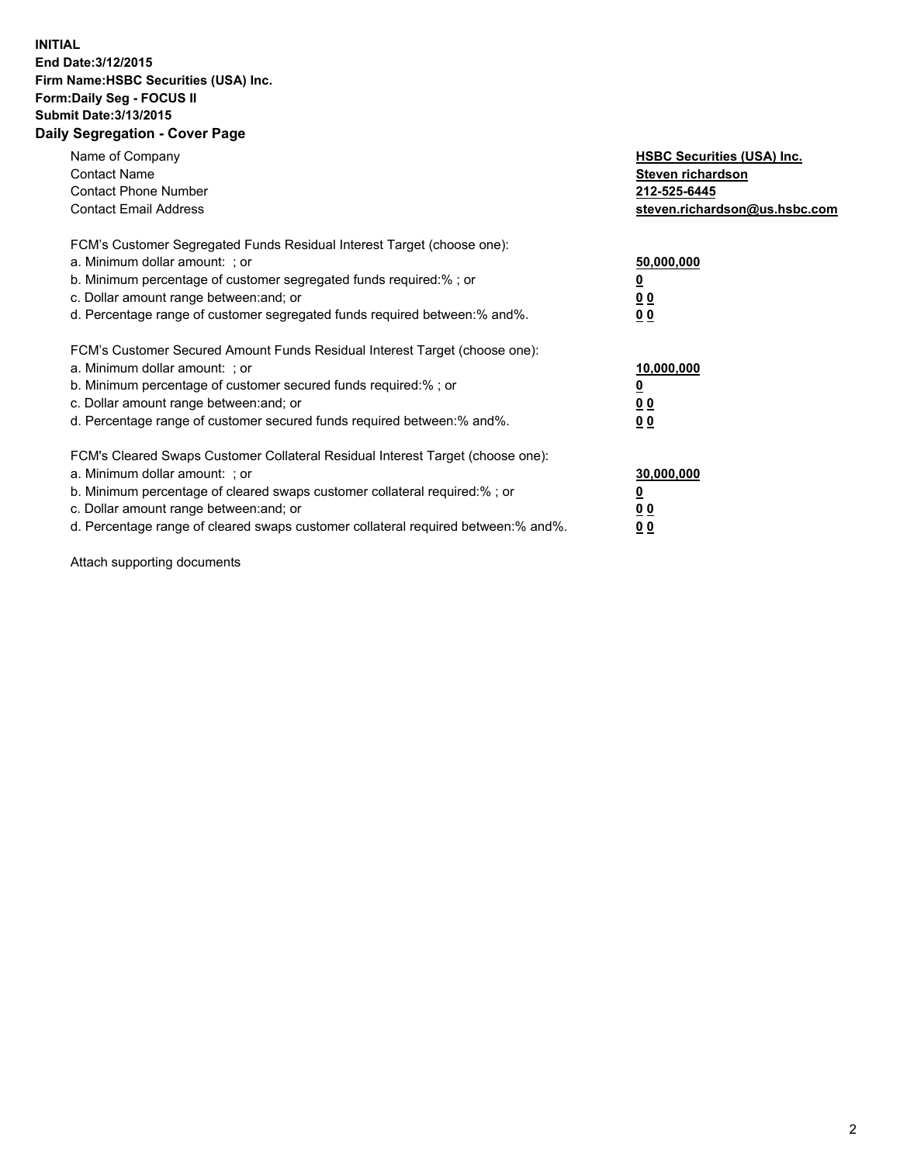## **INITIAL End Date:3/12/2015 Firm Name:HSBC Securities (USA) Inc. Form:Daily Seg - FOCUS II Submit Date:3/13/2015 Daily Segregation - Cover Page**

| Name of Company<br><b>Contact Name</b><br><b>Contact Phone Number</b><br><b>Contact Email Address</b>                                                                                                                                                                                                                         | <b>HSBC Securities (USA) Inc.</b><br>Steven richardson<br>212-525-6445<br>steven.richardson@us.hsbc.com |
|-------------------------------------------------------------------------------------------------------------------------------------------------------------------------------------------------------------------------------------------------------------------------------------------------------------------------------|---------------------------------------------------------------------------------------------------------|
| FCM's Customer Segregated Funds Residual Interest Target (choose one):<br>a. Minimum dollar amount: ; or<br>b. Minimum percentage of customer segregated funds required:%; or<br>c. Dollar amount range between: and; or<br>d. Percentage range of customer segregated funds required between:% and%.                         | 50,000,000<br>00<br>0 <sub>0</sub>                                                                      |
| FCM's Customer Secured Amount Funds Residual Interest Target (choose one):<br>a. Minimum dollar amount: ; or<br>b. Minimum percentage of customer secured funds required:%; or<br>c. Dollar amount range between: and; or<br>d. Percentage range of customer secured funds required between:% and%.                           | 10,000,000<br>0 <sub>0</sub><br>00                                                                      |
| FCM's Cleared Swaps Customer Collateral Residual Interest Target (choose one):<br>a. Minimum dollar amount: ; or<br>b. Minimum percentage of cleared swaps customer collateral required:%; or<br>c. Dollar amount range between: and; or<br>d. Percentage range of cleared swaps customer collateral required between:% and%. | 30,000,000<br><u>00</u><br><u>00</u>                                                                    |

Attach supporting documents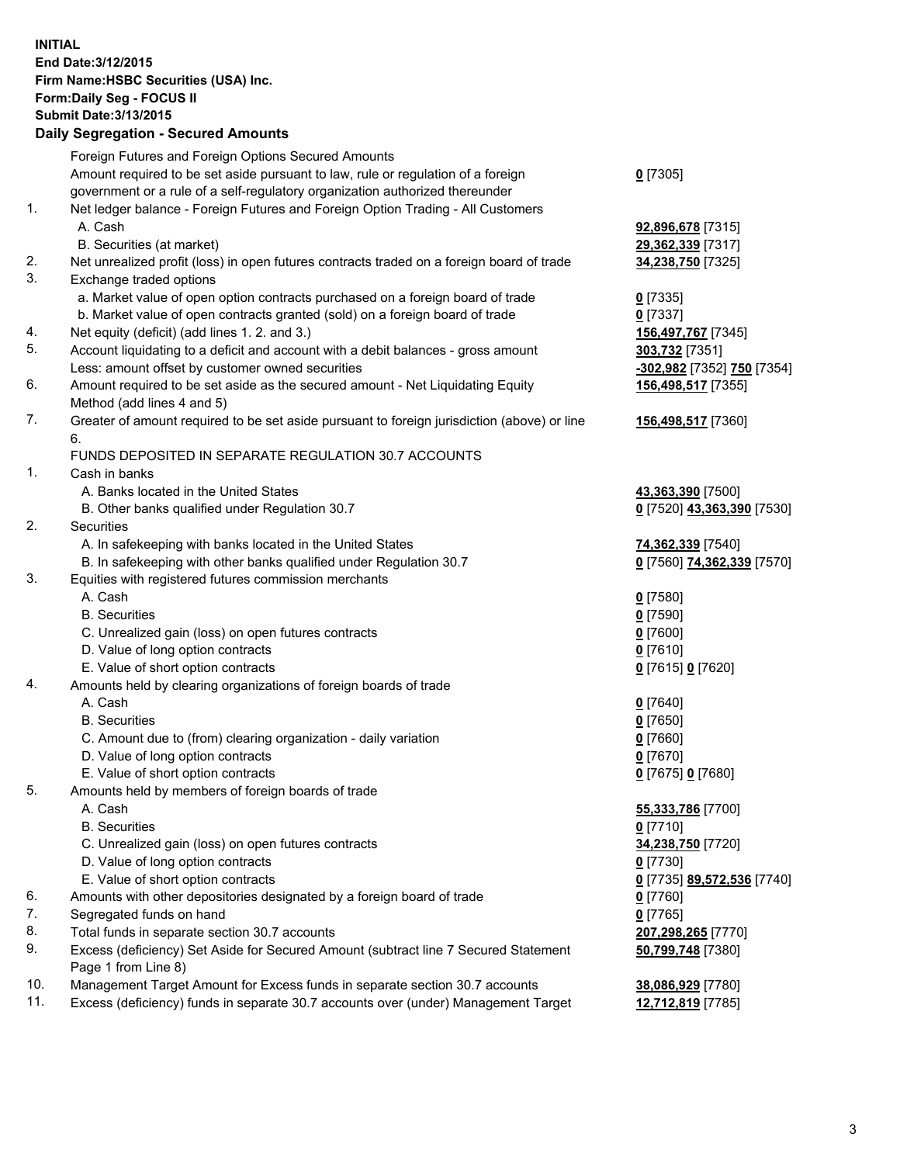**INITIAL End Date:3/12/2015 Firm Name:HSBC Securities (USA) Inc. Form:Daily Seg - FOCUS II Submit Date:3/13/2015 Daily Segregation - Secured Amounts**

|     | Foreign Futures and Foreign Options Secured Amounts                                         |                            |
|-----|---------------------------------------------------------------------------------------------|----------------------------|
|     | Amount required to be set aside pursuant to law, rule or regulation of a foreign            | $0$ [7305]                 |
|     | government or a rule of a self-regulatory organization authorized thereunder                |                            |
| 1.  | Net ledger balance - Foreign Futures and Foreign Option Trading - All Customers             |                            |
|     | A. Cash                                                                                     | 92,896,678 [7315]          |
|     | B. Securities (at market)                                                                   | 29,362,339 [7317]          |
| 2.  | Net unrealized profit (loss) in open futures contracts traded on a foreign board of trade   | 34,238,750 [7325]          |
| 3.  | Exchange traded options                                                                     |                            |
|     | a. Market value of open option contracts purchased on a foreign board of trade              | $0$ [7335]                 |
|     | b. Market value of open contracts granted (sold) on a foreign board of trade                | $0$ [7337]                 |
| 4.  | Net equity (deficit) (add lines 1. 2. and 3.)                                               | 156,497,767 [7345]         |
| 5.  | Account liquidating to a deficit and account with a debit balances - gross amount           | 303,732 [7351]             |
|     | Less: amount offset by customer owned securities                                            | -302,982 [7352] 750 [7354] |
| 6.  | Amount required to be set aside as the secured amount - Net Liquidating Equity              | 156,498,517 [7355]         |
|     | Method (add lines 4 and 5)                                                                  |                            |
| 7.  | Greater of amount required to be set aside pursuant to foreign jurisdiction (above) or line | 156,498,517 [7360]         |
|     | 6.                                                                                          |                            |
|     | FUNDS DEPOSITED IN SEPARATE REGULATION 30.7 ACCOUNTS                                        |                            |
| 1.  | Cash in banks                                                                               |                            |
|     | A. Banks located in the United States                                                       | 43,363,390 [7500]          |
|     | B. Other banks qualified under Regulation 30.7                                              | 0 [7520] 43,363,390 [7530] |
| 2.  | Securities                                                                                  |                            |
|     | A. In safekeeping with banks located in the United States                                   | 74,362,339 [7540]          |
|     | B. In safekeeping with other banks qualified under Regulation 30.7                          | 0 [7560] 74,362,339 [7570] |
| 3.  | Equities with registered futures commission merchants                                       |                            |
|     | A. Cash                                                                                     | $0$ [7580]                 |
|     | <b>B.</b> Securities                                                                        | $0$ [7590]                 |
|     | C. Unrealized gain (loss) on open futures contracts                                         | $0$ [7600]                 |
|     | D. Value of long option contracts                                                           | $0$ [7610]                 |
|     | E. Value of short option contracts                                                          | 0 [7615] 0 [7620]          |
| 4.  | Amounts held by clearing organizations of foreign boards of trade                           |                            |
|     | A. Cash                                                                                     |                            |
|     | <b>B.</b> Securities                                                                        | $0$ [7640]<br>$0$ [7650]   |
|     |                                                                                             |                            |
|     | C. Amount due to (from) clearing organization - daily variation                             | $0$ [7660]                 |
|     | D. Value of long option contracts                                                           | $0$ [7670]                 |
| 5.  | E. Value of short option contracts                                                          | 0 [7675] 0 [7680]          |
|     | Amounts held by members of foreign boards of trade                                          |                            |
|     | A. Cash<br><b>B.</b> Securities                                                             | 55,333,786 [7700]          |
|     |                                                                                             | $0$ [7710]                 |
|     | C. Unrealized gain (loss) on open futures contracts                                         | 34,238,750 [7720]          |
|     | D. Value of long option contracts                                                           | $0$ [7730]                 |
|     | E. Value of short option contracts                                                          | 0 [7735] 89,572,536 [7740] |
| 6.  | Amounts with other depositories designated by a foreign board of trade                      | $0$ [7760]                 |
| 7.  | Segregated funds on hand                                                                    | $0$ [7765]                 |
| 8.  | Total funds in separate section 30.7 accounts                                               | 207,298,265 [7770]         |
| 9.  | Excess (deficiency) Set Aside for Secured Amount (subtract line 7 Secured Statement         | 50,799,748 [7380]          |
|     | Page 1 from Line 8)                                                                         |                            |
| 10. | Management Target Amount for Excess funds in separate section 30.7 accounts                 | 38,086,929 [7780]          |
| 11. | Excess (deficiency) funds in separate 30.7 accounts over (under) Management Target          | 12,712,819 [7785]          |
|     |                                                                                             |                            |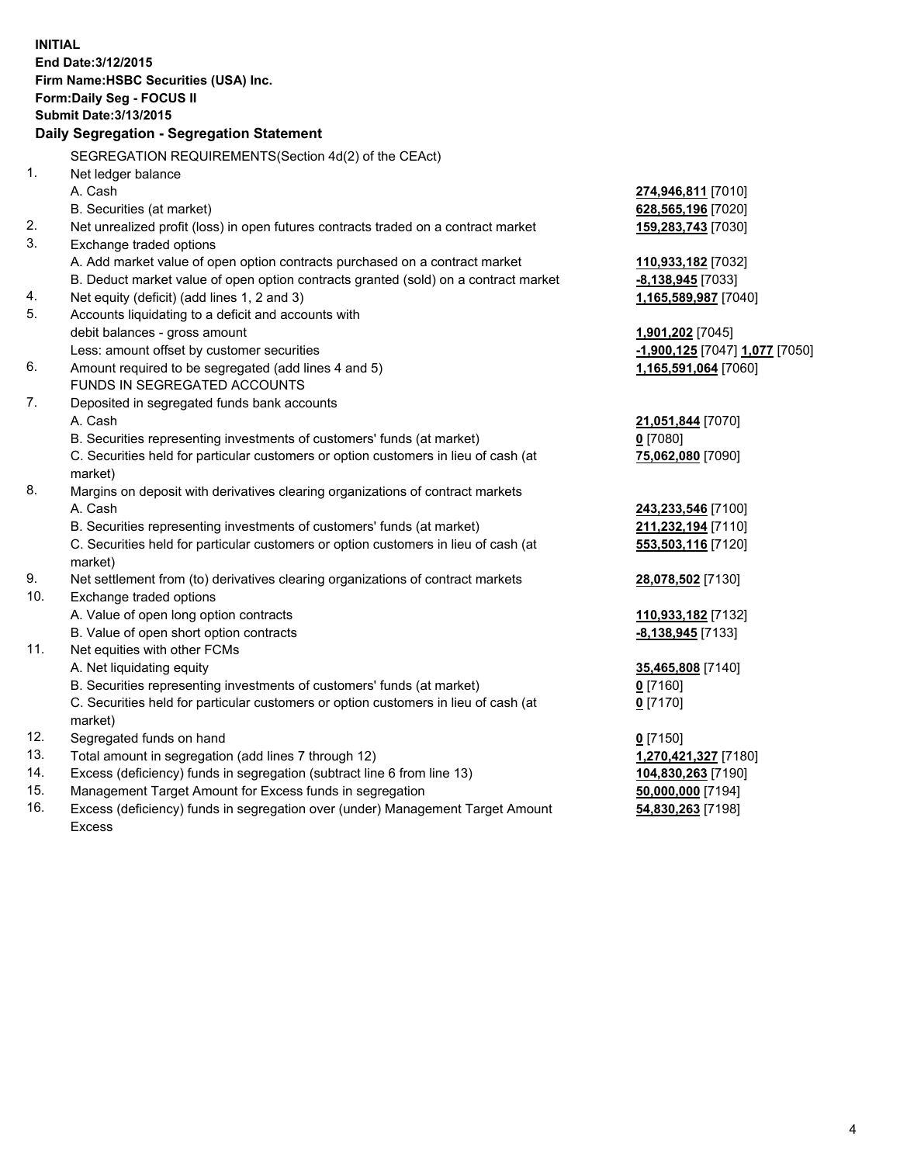| <b>INITIAL</b>                        |                                                                                                                                            |                                |  |  |  |  |  |
|---------------------------------------|--------------------------------------------------------------------------------------------------------------------------------------------|--------------------------------|--|--|--|--|--|
|                                       | End Date: 3/12/2015                                                                                                                        |                                |  |  |  |  |  |
| Firm Name: HSBC Securities (USA) Inc. |                                                                                                                                            |                                |  |  |  |  |  |
|                                       | Form: Daily Seg - FOCUS II                                                                                                                 |                                |  |  |  |  |  |
|                                       | <b>Submit Date: 3/13/2015</b>                                                                                                              |                                |  |  |  |  |  |
|                                       | Daily Segregation - Segregation Statement                                                                                                  |                                |  |  |  |  |  |
|                                       | SEGREGATION REQUIREMENTS(Section 4d(2) of the CEAct)                                                                                       |                                |  |  |  |  |  |
| 1.                                    | Net ledger balance                                                                                                                         |                                |  |  |  |  |  |
|                                       | A. Cash                                                                                                                                    | 274,946,811 [7010]             |  |  |  |  |  |
|                                       | B. Securities (at market)                                                                                                                  | 628,565,196 [7020]             |  |  |  |  |  |
| 2.                                    | Net unrealized profit (loss) in open futures contracts traded on a contract market                                                         | 159,283,743 [7030]             |  |  |  |  |  |
| 3.                                    | Exchange traded options                                                                                                                    |                                |  |  |  |  |  |
|                                       | A. Add market value of open option contracts purchased on a contract market                                                                | 110,933,182 [7032]             |  |  |  |  |  |
|                                       | B. Deduct market value of open option contracts granted (sold) on a contract market                                                        | -8,138,945 [7033]              |  |  |  |  |  |
| 4.                                    | Net equity (deficit) (add lines 1, 2 and 3)                                                                                                | 1,165,589,987 [7040]           |  |  |  |  |  |
| 5.                                    | Accounts liquidating to a deficit and accounts with                                                                                        |                                |  |  |  |  |  |
|                                       | debit balances - gross amount                                                                                                              | 1,901,202 [7045]               |  |  |  |  |  |
|                                       | Less: amount offset by customer securities                                                                                                 | -1,900,125 [7047] 1,077 [7050] |  |  |  |  |  |
| 6.                                    | Amount required to be segregated (add lines 4 and 5)                                                                                       | 1,165,591,064 [7060]           |  |  |  |  |  |
|                                       | FUNDS IN SEGREGATED ACCOUNTS                                                                                                               |                                |  |  |  |  |  |
| 7.                                    | Deposited in segregated funds bank accounts                                                                                                |                                |  |  |  |  |  |
|                                       | A. Cash                                                                                                                                    | 21,051,844 [7070]              |  |  |  |  |  |
|                                       | B. Securities representing investments of customers' funds (at market)                                                                     | $0$ [7080]                     |  |  |  |  |  |
|                                       | C. Securities held for particular customers or option customers in lieu of cash (at                                                        | 75,062,080 [7090]              |  |  |  |  |  |
|                                       | market)                                                                                                                                    |                                |  |  |  |  |  |
| 8.                                    | Margins on deposit with derivatives clearing organizations of contract markets                                                             |                                |  |  |  |  |  |
|                                       | A. Cash                                                                                                                                    | 243,233,546 [7100]             |  |  |  |  |  |
|                                       | B. Securities representing investments of customers' funds (at market)                                                                     | 211,232,194 [7110]             |  |  |  |  |  |
|                                       | C. Securities held for particular customers or option customers in lieu of cash (at                                                        | 553,503,116 [7120]             |  |  |  |  |  |
|                                       | market)                                                                                                                                    |                                |  |  |  |  |  |
| 9.                                    | Net settlement from (to) derivatives clearing organizations of contract markets                                                            | 28,078,502 [7130]              |  |  |  |  |  |
| 10.                                   | Exchange traded options                                                                                                                    |                                |  |  |  |  |  |
|                                       | A. Value of open long option contracts                                                                                                     | 110,933,182 [7132]             |  |  |  |  |  |
|                                       | B. Value of open short option contracts                                                                                                    | -8,138,945 [7133]              |  |  |  |  |  |
| 11.                                   | Net equities with other FCMs                                                                                                               |                                |  |  |  |  |  |
|                                       | A. Net liquidating equity                                                                                                                  | 35,465,808 [7140]              |  |  |  |  |  |
|                                       | B. Securities representing investments of customers' funds (at market)                                                                     | $0$ [7160]                     |  |  |  |  |  |
|                                       | C. Securities held for particular customers or option customers in lieu of cash (at                                                        | $0$ [7170]                     |  |  |  |  |  |
|                                       | market)                                                                                                                                    |                                |  |  |  |  |  |
| 12.                                   | Segregated funds on hand                                                                                                                   | $0$ [7150]                     |  |  |  |  |  |
| 13.                                   | Total amount in segregation (add lines 7 through 12)                                                                                       | 1,270,421,327 [7180]           |  |  |  |  |  |
| 14.                                   | Excess (deficiency) funds in segregation (subtract line 6 from line 13)                                                                    | 104,830,263 [7190]             |  |  |  |  |  |
| 15.<br>16.                            | Management Target Amount for Excess funds in segregation<br>Excess (deficiency) funds in segregation over (under) Management Target Amount | 50,000,000 [7194]              |  |  |  |  |  |
|                                       |                                                                                                                                            | 54,830,263 [7198]              |  |  |  |  |  |

16. Excess (deficiency) funds in segregation over (under) Management Target Amount Excess